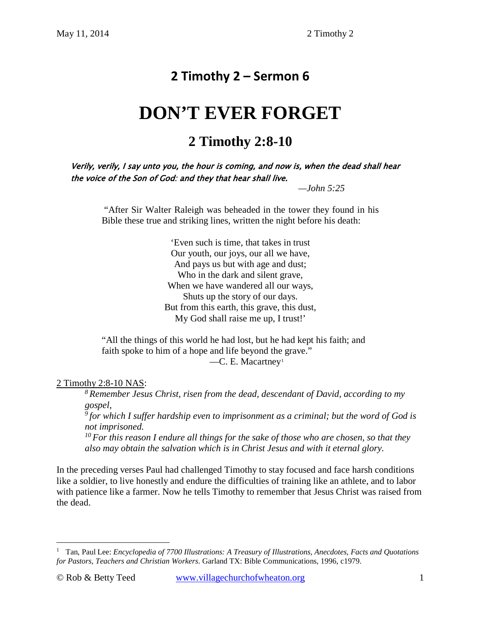# **2 Timothy 2 – Sermon 6**

# **DON'T EVER FORGET**

# **2 Timothy 2:8-10**

Verily, verily, I say unto you, the hour is coming, and now is, when the dead shall hear the voice of the Son of God: and they that hear shall live.

 *—John 5:25*

"After Sir Walter Raleigh was beheaded in the tower they found in his Bible these true and striking lines, written the night before his death:

> 'Even such is time, that takes in trust Our youth, our joys, our all we have, And pays us but with age and dust; Who in the dark and silent grave, When we have wandered all our ways, Shuts up the story of our days. But from this earth, this grave, this dust, My God shall raise me up, I trust!'

"All the things of this world he had lost, but he had kept his faith; and faith spoke to him of a hope and life beyond the grave." —C. E. Macartney[1](#page-0-0)

# 2 Timothy 2:8-10 NAS:

*8 Remember Jesus Christ, risen from the dead, descendant of David, according to my gospel, 9 for which I suffer hardship even to imprisonment as a criminal; but the word of God is not imprisoned.* 

*10 For this reason I endure all things for the sake of those who are chosen, so that they also may obtain the salvation which is in Christ Jesus and with it eternal glory.* 

In the preceding verses Paul had challenged Timothy to stay focused and face harsh conditions like a soldier, to live honestly and endure the difficulties of training like an athlete, and to labor with patience like a farmer. Now he tells Timothy to remember that Jesus Christ was raised from the dead.

<span id="page-0-0"></span><sup>&</sup>lt;sup>1</sup> Tan, Paul Lee: *Encyclopedia of 7700 Illustrations: A Treasury of Illustrations, Anecdotes, Facts and Quotations for Pastors, Teachers and Christian Workers*. Garland TX: Bible Communications, 1996, c1979.  $\overline{a}$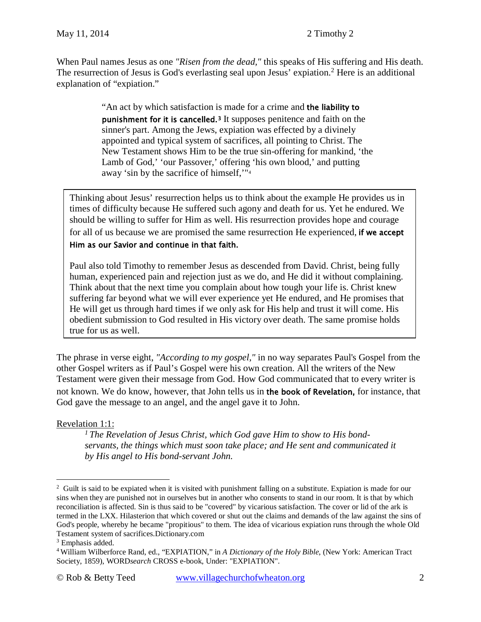When Paul names Jesus as one *"Risen from the dead,"* this speaks of His suffering and His death. The resurrection of Jesus is God's everlasting seal upon Jesus' expiation.<sup>[2](#page-1-0)</sup> Here is an additional explanation of "expiation."

> "An act by which satisfaction is made for a crime and the liability to punishment for it is cancelled.[3](#page-1-1) It supposes penitence and faith on the sinner's part. Among the Jews, expiation was effected by a divinely appointed and typical system of sacrifices, all pointing to Christ. The New Testament shows Him to be the true sin-offering for mankind, 'the Lamb of God,' 'our Passover,' offering 'his own blood,' and putting away 'sin by the sacrifice of himself,'"[4](#page-1-2)

Thinking about Jesus' resurrection helps us to think about the example He provides us in times of difficulty because He suffered such agony and death for us. Yet he endured. We should be willing to suffer for Him as well. His resurrection provides hope and courage for all of us because we are promised the same resurrection He experienced, if we accept

#### Him as our Savior and continue in that faith.

Paul also told Timothy to remember Jesus as descended from David. Christ, being fully human, experienced pain and rejection just as we do, and He did it without complaining. Think about that the next time you complain about how tough your life is. Christ knew suffering far beyond what we will ever experience yet He endured, and He promises that He will get us through hard times if we only ask for His help and trust it will come. His obedient submission to God resulted in His victory over death. The same promise holds true for us as well.

The phrase in verse eight, *"According to my gospel,"* in no way separates Paul's Gospel from the other Gospel writers as if Paul's Gospel were his own creation. All the writers of the New Testament were given their message from God. How God communicated that to every writer is not known. We do know, however, that John tells us in the book of Revelation, for instance, that God gave the message to an angel, and the angel gave it to John.

# Revelation 1:1:

 $\overline{a}$ 

*1 The Revelation of Jesus Christ, which God gave Him to show to His bondservants, the things which must soon take place; and He sent and communicated it by His angel to His bond-servant John.* 

<span id="page-1-0"></span><sup>&</sup>lt;sup>2</sup> Guilt is said to be expiated when it is visited with punishment falling on a substitute. Expiation is made for our sins when they are punished not in ourselves but in another who consents to stand in our room. It is that by which reconciliation is affected. Sin is thus said to be "covered" by vicarious satisfaction. The cover or lid of the ark is termed in the LXX. Hilasterion that which covered or shut out the claims and demands of the law against the sins of God's people, whereby he became "propitious" to them. The idea of vicarious expiation runs through the whole Old Testament system of sacrifices.Dictionary.com

<span id="page-1-1"></span><sup>&</sup>lt;sup>3</sup> Emphasis added.

<span id="page-1-2"></span><sup>4</sup> William Wilberforce Rand, ed., "EXPIATION," in *A Dictionary of the Holy Bible*, (New York: American Tract Society, 1859), WORD*search* CROSS e-book, Under: "EXPIATION".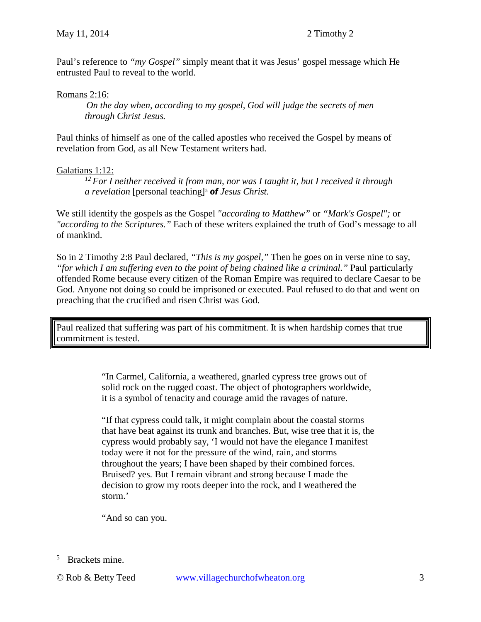Paul's reference to *"my Gospel"* simply meant that it was Jesus' gospel message which He entrusted Paul to reveal to the world.

#### Romans 2:16:

*On the day when, according to my gospel, God will judge the secrets of men through Christ Jesus.* 

Paul thinks of himself as one of the called apostles who received the Gospel by means of revelation from God, as all New Testament writers had.

#### Galatians 1:12:

*12 For I neither received it from man, nor was I taught it, but I received it through a revelation* [personal teaching][5](#page-2-0) *of Jesus Christ.*

We still identify the gospels as the Gospel *"according to Matthew"* or *"Mark's Gospel";* or *"according to the Scriptures."* Each of these writers explained the truth of God's message to all of mankind.

So in 2 Timothy 2:8 Paul declared, *"This is my gospel,"* Then he goes on in verse nine to say, *"for which I am suffering even to the point of being chained like a criminal."* Paul particularly offended Rome because every citizen of the Roman Empire was required to declare Caesar to be God. Anyone not doing so could be imprisoned or executed. Paul refused to do that and went on preaching that the crucified and risen Christ was God.

Paul realized that suffering was part of his commitment. It is when hardship comes that true commitment is tested.

> "In Carmel, California, a weathered, gnarled cypress tree grows out of solid rock on the rugged coast. The object of photographers worldwide, it is a symbol of tenacity and courage amid the ravages of nature.

"If that cypress could talk, it might complain about the coastal storms that have beat against its trunk and branches. But, wise tree that it is, the cypress would probably say, 'I would not have the elegance I manifest today were it not for the pressure of the wind, rain, and storms throughout the years; I have been shaped by their combined forces. Bruised? yes. But I remain vibrant and strong because I made the decision to grow my roots deeper into the rock, and I weathered the storm.'

"And so can you.

<span id="page-2-0"></span><sup>5</sup> Brackets mine.  $\overline{a}$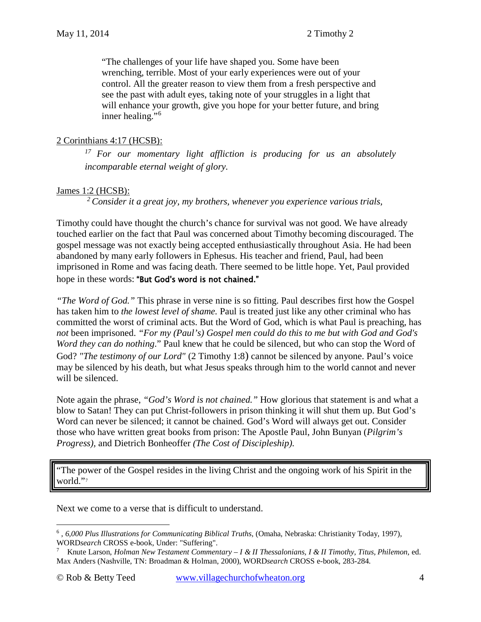"The challenges of your life have shaped you. Some have been wrenching, terrible. Most of your early experiences were out of your control. All the greater reason to view them from a fresh perspective and see the past with adult eyes, taking note of your struggles in a light that will enhance your growth, give you hope for your better future, and bring inner healing."[6](#page-3-0)

#### 2 Corinthians 4:17 (HCSB):

*17 For our momentary light affliction is producing for us an absolutely incomparable eternal weight of glory.*

# James 1:2 (HCSB):

*2 Consider it a great joy, my brothers, whenever you experience various trials,* 

Timothy could have thought the church's chance for survival was not good. We have already touched earlier on the fact that Paul was concerned about Timothy becoming discouraged. The gospel message was not exactly being accepted enthusiastically throughout Asia. He had been abandoned by many early followers in Ephesus. His teacher and friend, Paul, had been imprisoned in Rome and was facing death. There seemed to be little hope. Yet, Paul provided hope in these words: "But God's word is not chained."

*"The Word of God."* This phrase in verse nine is so fitting. Paul describes first how the Gospel has taken him to *the lowest level of shame.* Paul is treated just like any other criminal who has committed the worst of criminal acts. But the Word of God, which is what Paul is preaching, has *not* been imprisoned. *"For my (Paul's) Gospel men could do this to me but with God and God's Word they can do nothing.*" Paul knew that he could be silenced, but who can stop the Word of God? *"The testimony of our Lord"* (2 Timothy [1:8\)](http://www.crossbooks.com/verse.asp?ref=2Ti+1%3A8) cannot be silenced by anyone. Paul's voice may be silenced by his death, but what Jesus speaks through him to the world cannot and never will be silenced.

Note again the phrase, *"God's Word is not chained."* How glorious that statement is and what a blow to Satan! They can put Christ-followers in prison thinking it will shut them up. But God's Word can never be silenced; it cannot be chained. God's Word will always get out. Consider those who have written great books from prison: The Apostle Paul, John Bunyan (*Pilgrim's Progress),* and Dietrich Bonheoffer *(The Cost of Discipleship).*

"The power of the Gospel resides in the living Christ and the ongoing work of his Spirit in the world."[7](#page-3-1)

Next we come to a verse that is difficult to understand.

<span id="page-3-0"></span><sup>6</sup> , *6,000 Plus Illustrations for Communicating Biblical Truths*, (Omaha, Nebraska: Christianity Today, 1997), WORD*search* CROSS e-book, Under: "Suffering".<br><sup>7</sup> Knute Larson, Holman New Testament Commen  $\overline{a}$ 

<span id="page-3-1"></span><sup>7</sup> Knute Larson, *Holman New Testament Commentary – I & II Thessalonians, I & II Timothy, Titus, Philemon*, ed. Max Anders (Nashville, TN: Broadman & Holman, 2000), WORD*search* CROSS e-book, 283-284.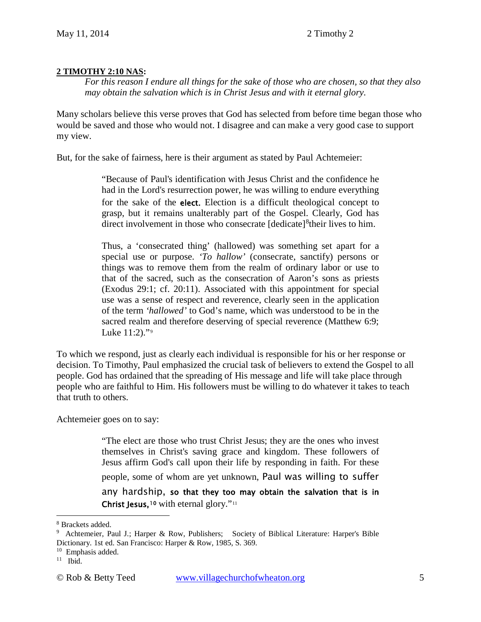#### **2 TIMOTHY 2:10 NAS:**

*For this reason I endure all things for the sake of those who are chosen, so that they also may obtain the salvation which is in Christ Jesus and with it eternal glory.* 

Many scholars believe this verse proves that God has selected from before time began those who would be saved and those who would not. I disagree and can make a very good case to support my view.

But, for the sake of fairness, here is their argument as stated by Paul Achtemeier:

"Because of Paul's identification with Jesus Christ and the confidence he had in the Lord's resurrection power, he was willing to endure everything for the sake of the elect. Election is a difficult theological concept to grasp, but it remains unalterably part of the Gospel. Clearly, God has direct involvement in those who consecrate [dedicate]<sup>[8](#page-4-0)</sup> their lives to him.

Thus, a 'consecrated thing' (hallowed) was something set apart for a special use or purpose. *'To hallow'* (consecrate, sanctify) persons or things was to remove them from the realm of ordinary labor or use to that of the sacred, such as the consecration of Aaron's sons as priests (Exodus 29:1; cf. 20:11). Associated with this appointment for special use was a sense of respect and reverence, clearly seen in the application of the term *'hallowed'* to God's name, which was understood to be in the sacred realm and therefore deserving of special reverence (Matthew 6:9; Luke 11:2)."[9](#page-4-1)

To which we respond, just as clearly each individual is responsible for his or her response or decision. To Timothy, Paul emphasized the crucial task of believers to extend the Gospel to all people. God has ordained that the spreading of His message and life will take place through people who are faithful to Him. His followers must be willing to do whatever it takes to teach that truth to others.

Achtemeier goes on to say:

"The elect are those who trust Christ Jesus; they are the ones who invest themselves in Christ's saving grace and kingdom. These followers of Jesus affirm God's call upon their life by responding in faith. For these people, some of whom are yet unknown, Paul was willing to suffer any hardship, so that they too may obtain the salvation that is in Christ Jesus,<sup>[10](#page-4-2)</sup> with eternal glory."<sup>[11](#page-4-3)</sup>

 $\overline{a}$ 

<span id="page-4-0"></span><sup>8</sup> Brackets added.

<span id="page-4-1"></span><sup>&</sup>lt;sup>9</sup> Achtemeier, Paul J.; Harper & Row, Publishers; Society of Biblical Literature: Harper's Bible Dictionary. 1st ed. San Francisco: Harper & Row, 1985, S. 369.

<span id="page-4-2"></span> $10$  Emphasis added.

<span id="page-4-3"></span> $11$  Ibid.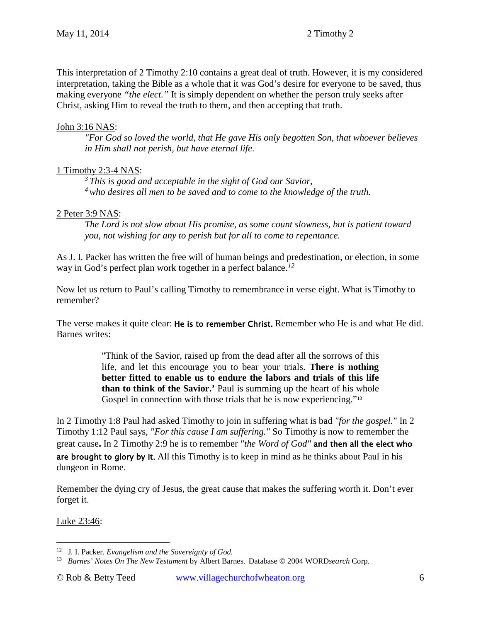This interpretation of 2 Timothy 2:10 contains a great deal of truth. However, it is my considered interpretation, taking the Bible as a whole that it was God's desire for everyone to be saved, thus making everyone *"the elect."* It is simply dependent on whether the person truly seeks after Christ, asking Him to reveal the truth to them, and then accepting that truth.

## John 3:16 NAS:

*"For God so loved the world, that He gave His only begotten Son, that whoever believes in Him shall not perish, but have eternal life.* 

# 1 Timothy 2:3-4 NAS:

*3 This is good and acceptable in the sight of God our Savior, 4 who desires all men to be saved and to come to the knowledge of the truth.* 

# 2 Peter 3:9 NAS:

*The Lord is not slow about His promise, as some count slowness, but is patient toward you, not wishing for any to perish but for all to come to repentance.* 

As J. I. Packer has written the free will of human beings and predestination, or election, in some way in God's perfect plan work together in a perfect balance.*[12](#page-5-0)*

Now let us return to Paul's calling Timothy to remembrance in verse eight. What is Timothy to remember?

The verse makes it quite clear: He is to remember Christ. Remember who He is and what He did. Barnes writes:

> "Think of the Savior, raised up from the dead after all the sorrows of this life, and let this encourage you to bear your trials. **There is nothing better fitted to enable us to endure the labors and trials of this life than to think of the Savior.'** Paul is summing up the heart of his whole Gospel in connection with those trials that he is now experiencing."<sup>[13](#page-5-1)</sup>

In 2 Timothy [1:8](http://www.crossbooks.com/verse.asp?ref=Mt+1%3A8) Paul had asked Timothy to join in suffering what is bad *"for the gospel."* In 2 Timothy [1:12](http://www.crossbooks.com/verse.asp?ref=2Ti+1%3A12) Paul says, *"For this cause I am suffering."* So Timothy is now to remember the great cause. In 2 Timothy 2[:9](http://www.crossbooks.com/verse.asp?ref=2Ti+2%3A9) he is to remember *"the Word of God"* and then all the elect who are brought to glory by it. All this Timothy is to keep in mind as he thinks about Paul in his dungeon in Rome.

Remember the dying cry of Jesus, the great cause that makes the suffering worth it. Don't ever forget it.

Luke 23:46:

<span id="page-5-0"></span><sup>12</sup> J. I. Packer. *Evangelism and the Sovereignty of God.*  $\overline{a}$ 

<span id="page-5-1"></span><sup>13</sup> *Barnes' Notes On The New Testament* by Albert Barnes. Database © 2004 WORD*search* Corp.